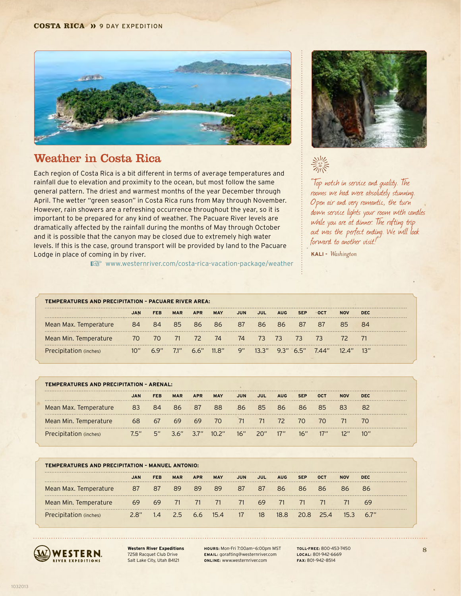#### **COSTA RICA >> 9 DAY EXPEDITION**



## Weather in Costa Rica

Each region of Costa Rica is a bit different in terms of average temperatures and rainfall due to elevation and proximity to the ocean, but most follow the same general pattern. The driest and warmest months of the year December through April. The wetter "green season" in Costa Rica runs from May through November. However, rain showers are a refreshing occurrence throughout the year, so it is important to be prepared for any kind of weather. The Pacuare River levels are dramatically affected by the rainfall during the months of May through October and it is possible that the canyon may be closed due to extremely high water levels. If this is the case, ground transport will be provided by land to the Pacuare Lodge in place of coming in by river.

■ www.westernriver.com/costa-rica-vacation-package/weather



"Top notch in service and quality. The rooms we had were absolutely stunning. Open air and very romantic, the turn down service lights your room with candles while you are at dinner. The rafting trip out was the perfect ending. We will look forward to another visit!

**KALI -** *Washington*

|                        | TEMPERATURES AND PRECIPITATION - PACUARE RIVER AREA: |            |            |            |            |                             |                 |            |            |                 |            |            |   |
|------------------------|------------------------------------------------------|------------|------------|------------|------------|-----------------------------|-----------------|------------|------------|-----------------|------------|------------|---|
|                        |                                                      | <b>FEB</b> | <b>MAR</b> | <b>APR</b> | <b>MAY</b> | JUN                         | JUL             | <b>AUG</b> | <b>SEP</b> | OC <sub>1</sub> | <b>NOV</b> | <b>DEC</b> | . |
| Mean Max. Temperature  | 84                                                   | -84        | 85         | -86        | 86         | 87                          | 86              | 86         | 87         | 87              | 85         | -84        |   |
| Mean Min. Temperature  | $-70$                                                | -70        | $-71$      | 72         | -74        | 74                          | -73             | <b>73</b>  | -73        | 73              |            | 71         |   |
| Precipitation (inches) |                                                      | 6.9"       | $7.1$ "    | 66"        | 11.8"      | $\mathsf{Q}^{\prime\prime}$ | $\sqrt{13.3}$ " |            | 93"65"     | 744"            |            |            |   |

| TEMPERATURES AND PRECIPITATION - ARENAL: |    |     |            |            |                                     |            |     |            |            |            |            |            |
|------------------------------------------|----|-----|------------|------------|-------------------------------------|------------|-----|------------|------------|------------|------------|------------|
|                                          |    | FEB | <b>MAR</b> | <b>APR</b> | <b>MAY</b>                          | <b>JUN</b> | JUL | <b>AUG</b> | <b>SEP</b> | <b>OCT</b> | <b>NOV</b> | <b>DEC</b> |
| Mean Max. Temperature                    | 83 | -84 | -86        | $-87$      | 88                                  | 86         | 85  | 86.        | 86         | 85         | 83         | 82         |
| Mean Min. Temperature                    | 68 | 67  | 69         | 69         | 70                                  | 71         | 71  | $-72$      | - 70       | (()        |            | 70         |
| Precipitation (inches)                   |    |     |            |            | 7.5" 5" 3.6" 3.7" 10.2" 16" 20" 17" |            |     |            | 16"        |            |            | 10″        |

| TEMPERATURES AND PRECIPITATION - MANUEL ANTONIO: |      |            |            |            |            |            |     |            |            |            |            |            |
|--------------------------------------------------|------|------------|------------|------------|------------|------------|-----|------------|------------|------------|------------|------------|
|                                                  | JAN  | <b>FEB</b> | <b>MAR</b> | <b>APR</b> | <b>MAY</b> | <b>JUN</b> | JUL | <b>AUG</b> | <b>SEP</b> | <b>OCT</b> | <b>NOV</b> | <b>DEC</b> |
| Mean Max. Temperature                            | 87   | -87        | 89         | 89         | 89         | 87         | 87  | 86         | 86.        | 86         | 86         | 86         |
| Mean Min. Temperature                            | 69   | 69         | - 71       | - 71       | $-71$      | - 71       | 69  | 71         |            | 71         |            | 69         |
| Precipitation (inches)                           | 2 R" | 1.4        | 25         | 66         | $15\,4$    | 17         | -18 | 18.8       | 20 B       | 254        | 153        | 67"        |



**Western River Expeditions** 7258 Racquet Club Drive Salt Lake City, Utah 84121

**HOURS:** Mon-Fri 7:00am—6:00pm MST **EMAIL:** gorafting@westernriver.com **ONLINE:** www.westernriver.com

**TOLL-FREE:** 800-453-7450 **LOCAL:** 801-942-6669 **FAX:** 801–942–8514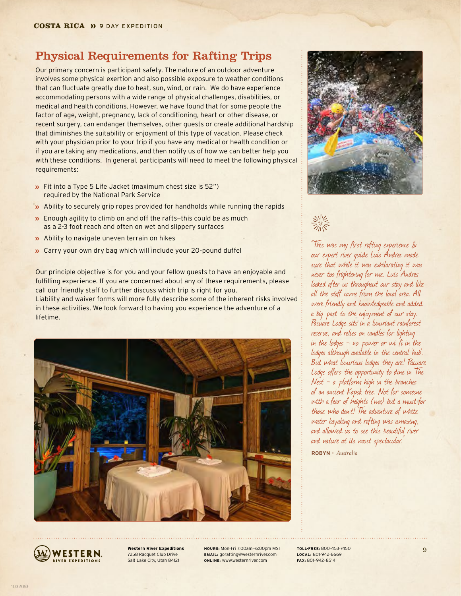## Physical Requirements for Rafting Trips

Our primary concern is participant safety. The nature of an outdoor adventure involves some physical exertion and also possible exposure to weather conditions that can fluctuate greatly due to heat, sun, wind, or rain. We do have experience accommodating persons with a wide range of physical challenges, disabilities, or medical and health conditions. However, we have found that for some people the factor of age, weight, pregnancy, lack of conditioning, heart or other disease, or recent surgery, can endanger themselves, other guests or create additional hardship that diminishes the suitability or enjoyment of this type of vacation. Please check with your physician prior to your trip if you have any medical or health condition or if you are taking any medications, and then notify us of how we can better help you with these conditions. In general, participants will need to meet the following physical requirements:

- **»** Fit into a Type 5 Life Jacket (maximum chest size is 52") required by the National Park Service
- Ability to securely grip ropes provided for handholds while running the rapids
- **»** Enough agility to climb on and off the rafts-this could be as much as a 2-3 foot reach and often on wet and slippery surfaces
- **»** Ability to navigate uneven terrain on hikes
- **»** Carry your own dry bag which will include your 20-pound duffel

Our principle objective is for you and your fellow guests to have an enjoyable and fulfilling experience. If you are concerned about any of these requirements, please call our friendly staff to further discuss which trip is right for you. Liability and waiver forms will more fully describe some of the inherent risks involved in these activities. We look forward to having you experience the adventure of a lifetime.





美术

"This was my first rafting experience & our expert river guide Luis Andres made sure that while it was exhilarating it was never too frightening for me. Luis Andres looked after us throughout our stay and like all the staff came from the local area. All were friendly and knowledgeable and added a big part to the enjoyment of our stay. Pacuare Lodge sits in a luxuriant rainforest reserve, and relies on candles for lighting in the lodges - no power or wi fi in the lodges although available in the central 'hub'. But what luxurious lodges they are! Pacuare Lodge offers the opportunity to dine in 'The  $Nest - a$  platform high in the branches of an ancient Kapok tree. Not for someone with a fear of heights (me) but a must for those who don't! The adventure of white water kayaking and rafting was amazing, and allowed us to see this beautiful river and nature at its most spectacular.

**ROBYN -** *Australia*



**Western River Expeditions** 7258 Racquet Club Drive Salt Lake City, Utah 84121

**HOURS:** Mon-Fri 7:00am—6:00pm MST **EMAIL:** gorafting@westernriver.com **ONLINE:** www.westernriver.com

**TOLL-FREE:** 800-453-7450 **LOCAL:** 801-942-6669 **FAX:** 801–942–8514